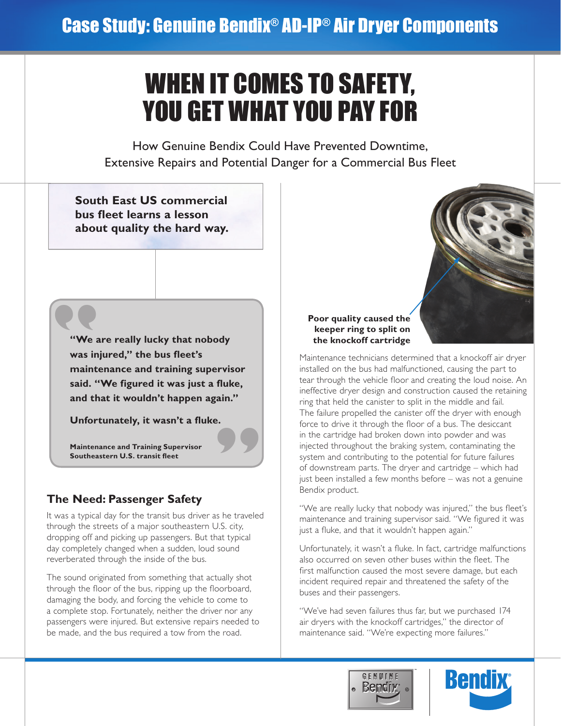# WHEN IT COMES TO SAFETY, YOU GET WHAT YOU PAY FOR

How Genuine Bendix Could Have Prevented Downtime, Extensive Repairs and Potential Danger for a Commercial Bus Fleet

**South East US commercial bus fleet learns a lesson about quality the hard way.**

**"**

**"We are really lucky that nobody was injured," the bus fleet's maintenance and training supervisor said. "We figured it was just a fluke, and that it wouldn't happen again."**

**" Unfortunately, it wasn't a fluke.**

**Maintenance and Training Supervisor Southeastern U.S. transit fleet** 

## **The Need: Passenger Safety**

It was a typical day for the transit bus driver as he traveled through the streets of a major southeastern U.S. city, dropping off and picking up passengers. But that typical day completely changed when a sudden, loud sound reverberated through the inside of the bus.

The sound originated from something that actually shot through the floor of the bus, ripping up the floorboard, damaging the body, and forcing the vehicle to come to a complete stop. Fortunately, neither the driver nor any passengers were injured. But extensive repairs needed to be made, and the bus required a tow from the road.

#### **Poor quality caused the keeper ring to split on the knockoff cartridge**

Maintenance technicians determined that a knockoff air dryer installed on the bus had malfunctioned, causing the part to tear through the vehicle floor and creating the loud noise. An ineffective dryer design and construction caused the retaining ring that held the canister to split in the middle and fail. The failure propelled the canister off the dryer with enough force to drive it through the floor of a bus. The desiccant in the cartridge had broken down into powder and was injected throughout the braking system, contaminating the system and contributing to the potential for future failures of downstream parts. The dryer and cartridge – which had just been installed a few months before – was not a genuine Bendix product.

"We are really lucky that nobody was injured," the bus fleet's maintenance and training supervisor said. "We figured it was just a fluke, and that it wouldn't happen again."

Unfortunately, it wasn't a fluke. In fact, cartridge malfunctions also occurred on seven other buses within the fleet. The first malfunction caused the most severe damage, but each incident required repair and threatened the safety of the buses and their passengers.

"We've had seven failures thus far, but we purchased 174 air dryers with the knockoff cartridges," the director of maintenance said. "We're expecting more failures."

™